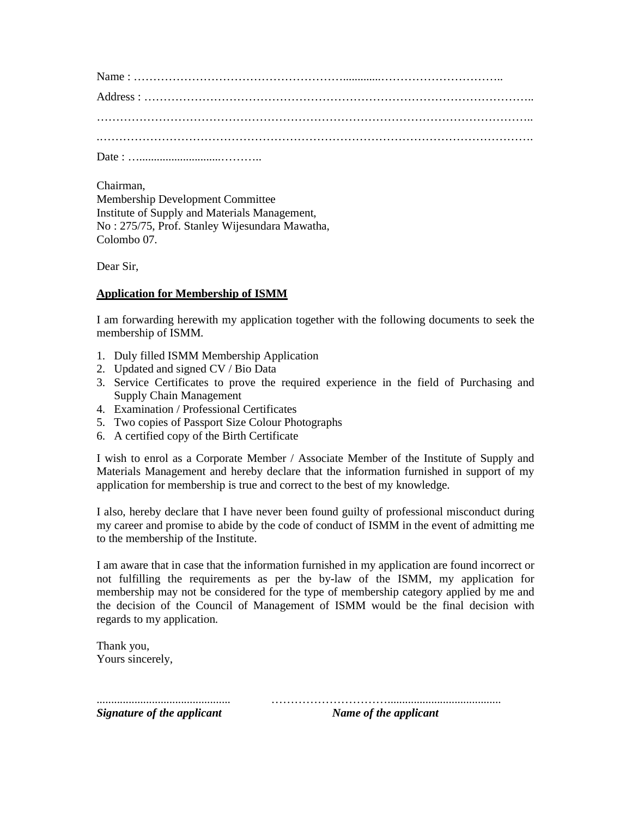Chairman,

Membership Development Committee Institute of Supply and Materials Management, No : 275/75, Prof. Stanley Wijesundara Mawatha, Colombo 07.

Dear Sir,

# **Application for Membership of ISMM**

I am forwarding herewith my application together with the following documents to seek the membership of ISMM.

- 1. Duly filled ISMM Membership Application
- 2. Updated and signed CV / Bio Data
- 3. Service Certificates to prove the required experience in the field of Purchasing and Supply Chain Management
- 4. Examination / Professional Certificates
- 5. Two copies of Passport Size Colour Photographs
- 6. A certified copy of the Birth Certificate

I wish to enrol as a Corporate Member / Associate Member of the Institute of Supply and Materials Management and hereby declare that the information furnished in support of my application for membership is true and correct to the best of my knowledge.

I also, hereby declare that I have never been found guilty of professional misconduct during my career and promise to abide by the code of conduct of ISMM in the event of admitting me to the membership of the Institute.

I am aware that in case that the information furnished in my application are found incorrect or not fulfilling the requirements as per the by-law of the ISMM, my application for membership may not be considered for the type of membership category applied by me and the decision of the Council of Management of ISMM would be the final decision with regards to my application.

Thank you, Yours sincerely,

.............................................. ………………………….......................................

*Signature of the applicant* Mame of the applicant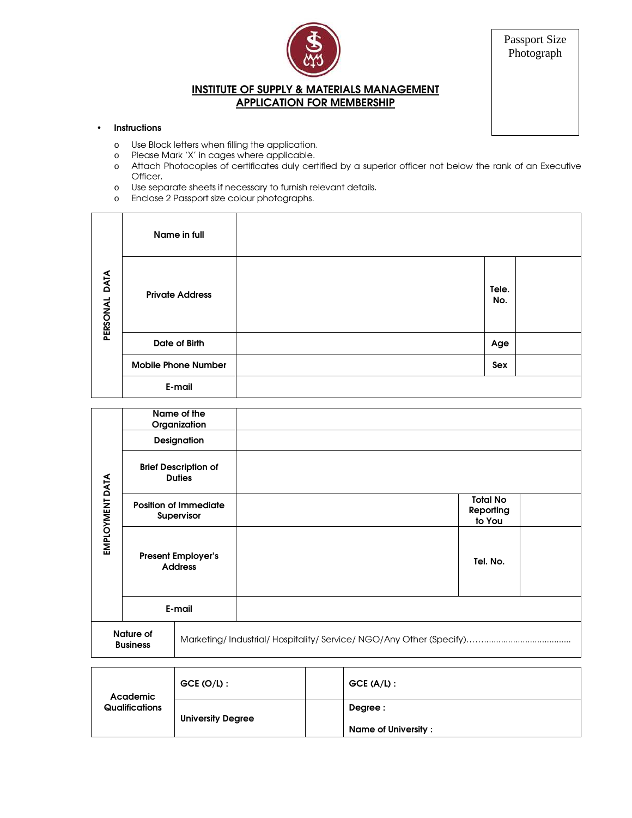

Passport Size Photograph

# INSTITUTE OF SUPPLY & MATERIALS MANAGEMENT APPLICATION FOR MEMBERSHIP

# • Instructions

- o Use Block letters when filling the application.
- o Please Mark 'X' in cages where applicable.
- o Attach Photocopies of certificates duly certified by a superior officer not below the rank of an Executive Officer.
- o Use separate sheets if necessary to furnish relevant details.
- o Enclose 2 Passport size colour photographs.

|                  | Name in full               |              |  |
|------------------|----------------------------|--------------|--|
| DATA<br>PERSONAL | <b>Private Address</b>     | Tele.<br>No. |  |
|                  | Date of Birth              | Age          |  |
|                  | <b>Mobile Phone Number</b> | Sex          |  |
|                  | E-mail                     |              |  |

|                              |                                                   | Name of the<br>Organization |  |  |                                        |  |
|------------------------------|---------------------------------------------------|-----------------------------|--|--|----------------------------------------|--|
| EMPLOYMENT DATA              | Designation                                       |                             |  |  |                                        |  |
|                              | <b>Brief Description of</b><br><b>Duties</b>      |                             |  |  |                                        |  |
|                              | <b>Position of Immediate</b><br><b>Supervisor</b> |                             |  |  | <b>Total No</b><br>Reporting<br>to You |  |
|                              | <b>Present Employer's</b><br><b>Address</b>       |                             |  |  | Tel. No.                               |  |
|                              |                                                   | E-mail                      |  |  |                                        |  |
| Nature of<br><b>Business</b> |                                                   |                             |  |  |                                        |  |
|                              |                                                   |                             |  |  |                                        |  |

| Academic<br>Qualifications | $GCE (O/L)$ :            | $GCE (A/L)$ :              |
|----------------------------|--------------------------|----------------------------|
|                            | <b>University Degree</b> | Degree :                   |
|                            |                          | <b>Name of University:</b> |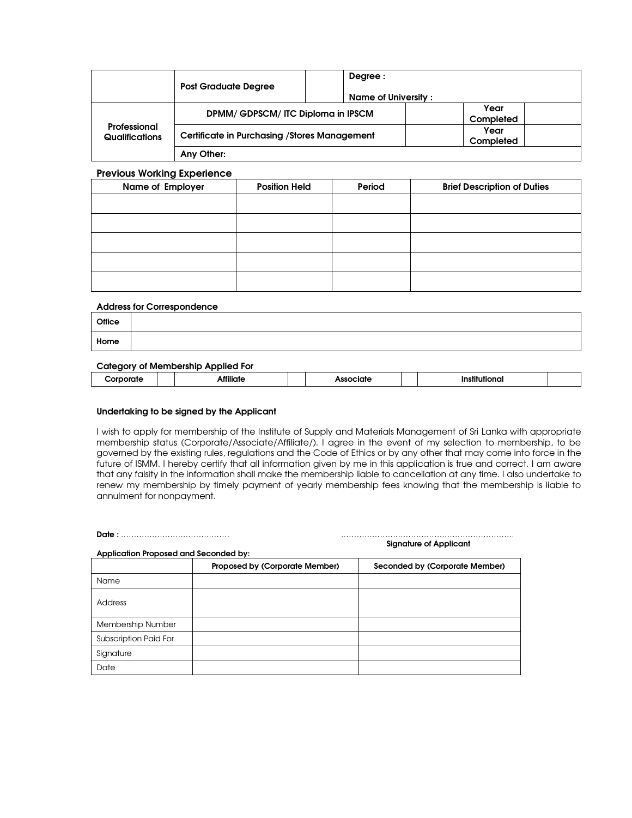|                                       | <b>Post Graduate Degree</b>                          | Degree :<br>Name of University : |                   |
|---------------------------------------|------------------------------------------------------|----------------------------------|-------------------|
| Professional<br><b>Qualifications</b> | DPMM/GDPSCM/ITC Diploma in IPSCM                     |                                  | Year<br>Completed |
|                                       | <b>Certificate in Purchasing / Stores Management</b> |                                  | Year<br>Completed |
|                                       | Any Other:                                           |                                  |                   |

## Previous Working Experience

| Name of Employer | <b>Position Held</b> | Period | <b>Brief Description of Duties</b> |
|------------------|----------------------|--------|------------------------------------|
|                  |                      |        |                                    |
|                  |                      |        |                                    |
|                  |                      |        |                                    |
|                  |                      |        |                                    |
|                  |                      |        |                                    |

## Address for Correspondence

| Home |  |  |
|------|--|--|

## Category of Membership Applied For

| ---------- |  |                   |  |   |  |  |
|------------|--|-------------------|--|---|--|--|
| .          |  | <br>$\sim$ $\sim$ |  | . |  |  |
|            |  |                   |  |   |  |  |

#### Undertaking to be signed by the Applicant

I wish to apply for membership of the Institute of Supply and Materials Management of Sri Lanka with appropriate membership status (Corporate/Associate/Affiliate/). I agree in the event of my selection to membership, to be governed by the existing rules, regulations and the Code of Ethics or by any other that may come into force in the future of ISMM. I hereby certify that all information given by me in this application is true and correct. I am aware that any falsity in the information shall make the membership liable to cancellation at any time. I also undertake to renew my membership by timely payment of yearly membership fees knowing that the membership is liable to annulment for nonpayment.

| <b>Signature of Applicant</b><br>Application Proposed and Seconded by: |                                |                                |  |  |  |
|------------------------------------------------------------------------|--------------------------------|--------------------------------|--|--|--|
|                                                                        | Proposed by (Corporate Member) | Seconded by (Corporate Member) |  |  |  |
| Name                                                                   |                                |                                |  |  |  |
| Address                                                                |                                |                                |  |  |  |
| Membership Number                                                      |                                |                                |  |  |  |
| <b>Subscription Paid For</b>                                           |                                |                                |  |  |  |
| Signature                                                              |                                |                                |  |  |  |
| Date                                                                   |                                |                                |  |  |  |